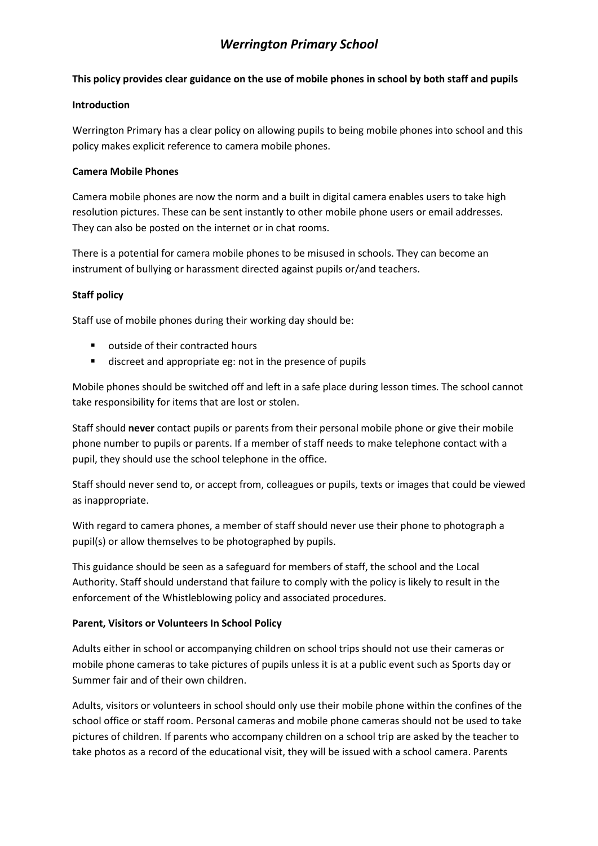# *Werrington Primary School*

# **This policy provides clear guidance on the use of mobile phones in school by both staff and pupils**

## **Introduction**

Werrington Primary has a clear policy on allowing pupils to being mobile phones into school and this policy makes explicit reference to camera mobile phones.

# **Camera Mobile Phones**

Camera mobile phones are now the norm and a built in digital camera enables users to take high resolution pictures. These can be sent instantly to other mobile phone users or email addresses. They can also be posted on the internet or in chat rooms.

There is a potential for camera mobile phones to be misused in schools. They can become an instrument of bullying or harassment directed against pupils or/and teachers.

# **Staff policy**

Staff use of mobile phones during their working day should be:

- **u** outside of their contracted hours
- discreet and appropriate eg: not in the presence of pupils

Mobile phones should be switched off and left in a safe place during lesson times. The school cannot take responsibility for items that are lost or stolen.

Staff should **never** contact pupils or parents from their personal mobile phone or give their mobile phone number to pupils or parents. If a member of staff needs to make telephone contact with a pupil, they should use the school telephone in the office.

Staff should never send to, or accept from, colleagues or pupils, texts or images that could be viewed as inappropriate.

With regard to camera phones, a member of staff should never use their phone to photograph a pupil(s) or allow themselves to be photographed by pupils.

This guidance should be seen as a safeguard for members of staff, the school and the Local Authority. Staff should understand that failure to comply with the policy is likely to result in the enforcement of the Whistleblowing policy and associated procedures.

#### **Parent, Visitors or Volunteers In School Policy**

Adults either in school or accompanying children on school trips should not use their cameras or mobile phone cameras to take pictures of pupils unless it is at a public event such as Sports day or Summer fair and of their own children.

Adults, visitors or volunteers in school should only use their mobile phone within the confines of the school office or staff room. Personal cameras and mobile phone cameras should not be used to take pictures of children. If parents who accompany children on a school trip are asked by the teacher to take photos as a record of the educational visit, they will be issued with a school camera. Parents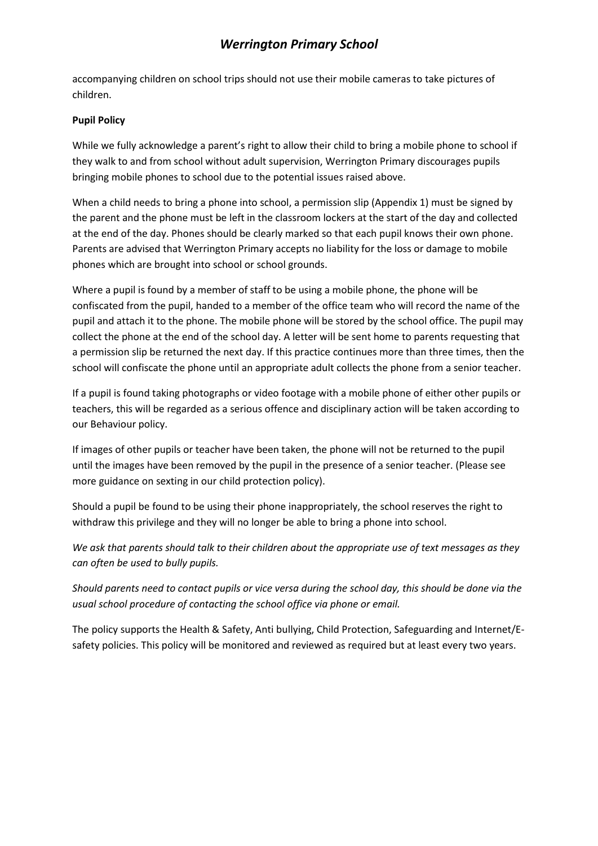# *Werrington Primary School*

accompanying children on school trips should not use their mobile cameras to take pictures of children.

# **Pupil Policy**

While we fully acknowledge a parent's right to allow their child to bring a mobile phone to school if they walk to and from school without adult supervision, Werrington Primary discourages pupils bringing mobile phones to school due to the potential issues raised above.

When a child needs to bring a phone into school, a permission slip (Appendix 1) must be signed by the parent and the phone must be left in the classroom lockers at the start of the day and collected at the end of the day. Phones should be clearly marked so that each pupil knows their own phone. Parents are advised that Werrington Primary accepts no liability for the loss or damage to mobile phones which are brought into school or school grounds.

Where a pupil is found by a member of staff to be using a mobile phone, the phone will be confiscated from the pupil, handed to a member of the office team who will record the name of the pupil and attach it to the phone. The mobile phone will be stored by the school office. The pupil may collect the phone at the end of the school day. A letter will be sent home to parents requesting that a permission slip be returned the next day. If this practice continues more than three times, then the school will confiscate the phone until an appropriate adult collects the phone from a senior teacher.

If a pupil is found taking photographs or video footage with a mobile phone of either other pupils or teachers, this will be regarded as a serious offence and disciplinary action will be taken according to our Behaviour policy.

If images of other pupils or teacher have been taken, the phone will not be returned to the pupil until the images have been removed by the pupil in the presence of a senior teacher. (Please see more guidance on sexting in our child protection policy).

Should a pupil be found to be using their phone inappropriately, the school reserves the right to withdraw this privilege and they will no longer be able to bring a phone into school.

*We ask that parents should talk to their children about the appropriate use of text messages as they can often be used to bully pupils.* 

*Should parents need to contact pupils or vice versa during the school day, this should be done via the usual school procedure of contacting the school office via phone or email.* 

The policy supports the Health & Safety, Anti bullying, Child Protection, Safeguarding and Internet/Esafety policies. This policy will be monitored and reviewed as required but at least every two years.